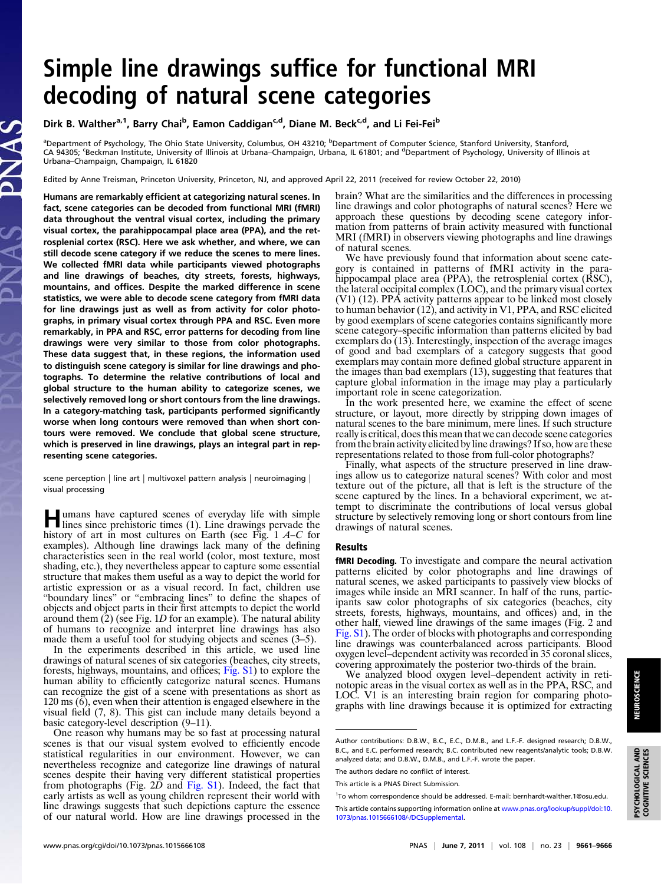## Simple line drawings suffice for functional MRI decoding of natural scene categories

Dirk B. Walther<sup>a, 1</sup>, Barry Chai<sup>b</sup>, Eamon Caddigan<sup>c,d</sup>, Diane M. Beck<sup>c,d</sup>, and Li Fei-Fei<sup>b</sup>

<sup>a</sup>Department of Psychology, The Ohio State University, Columbus, OH 43210; <sup>b</sup>Department of Computer Science, Stanford University, Stanford,<br>CA 94305; ʿBeckman Institute, University of Illinois at Urbana–Champaign, Urbana Urbana–Champaign, Champaign, IL 61820

Edited by Anne Treisman, Princeton University, Princeton, NJ, and approved April 22, 2011 (received for review October 22, 2010)

Humans are remarkably efficient at categorizing natural scenes. In fact, scene categories can be decoded from functional MRI (fMRI) data throughout the ventral visual cortex, including the primary visual cortex, the parahippocampal place area (PPA), and the retrosplenial cortex (RSC). Here we ask whether, and where, we can still decode scene category if we reduce the scenes to mere lines. We collected fMRI data while participants viewed photographs and line drawings of beaches, city streets, forests, highways, mountains, and offices. Despite the marked difference in scene statistics, we were able to decode scene category from fMRI data for line drawings just as well as from activity for color photographs, in primary visual cortex through PPA and RSC. Even more remarkably, in PPA and RSC, error patterns for decoding from line drawings were very similar to those from color photographs. These data suggest that, in these regions, the information used to distinguish scene category is similar for line drawings and photographs. To determine the relative contributions of local and global structure to the human ability to categorize scenes, we selectively removed long or short contours from the line drawings. In a category-matching task, participants performed significantly worse when long contours were removed than when short contours were removed. We conclude that global scene structure, which is preserved in line drawings, plays an integral part in representing scene categories.

scene perception | line art | multivoxel pattern analysis | neuroimaging | visual processing

**Humans have captured scenes of everyday life with simple lines since prehistoric times (1). Line drawings pervade the** history of art in most cultures on Earth (see Fig. 1 A–C for examples). Although line drawings lack many of the defining characteristics seen in the real world (color, most texture, most shading, etc.), they nevertheless appear to capture some essential structure that makes them useful as a way to depict the world for artistic expression or as a visual record. In fact, children use "boundary lines" or "embracing lines" to define the shapes of objects and object parts in their first attempts to depict the world around them (2) (see Fig. 1D for an example). The natural ability of humans to recognize and interpret line drawings has also made them a useful tool for studying objects and scenes (3–5).

In the experiments described in this article, we used line drawings of natural scenes of six categories (beaches, city streets, forests, highways, mountains, and offices; [Fig. S1](http://www.pnas.org/lookup/suppl/doi:10.1073/pnas.1015666108/-/DCSupplemental/pnas.201015666SI.pdf?targetid=nameddest=SF1)) to explore the human ability to efficiently categorize natural scenes. Humans can recognize the gist of a scene with presentations as short as 120 ms  $(6)$ , even when their attention is engaged elsewhere in the visual field (7, 8). This gist can include many details beyond a basic category-level description (9–11).

One reason why humans may be so fast at processing natural scenes is that our visual system evolved to efficiently encode statistical regularities in our environment. However, we can nevertheless recognize and categorize line drawings of natural scenes despite their having very different statistical properties from photographs (Fig.  $2\overline{D}$  and [Fig. S1](http://www.pnas.org/lookup/suppl/doi:10.1073/pnas.1015666108/-/DCSupplemental/pnas.201015666SI.pdf?targetid=nameddest=SF1)). Indeed, the fact that early artists as well as young children represent their world with line drawings suggests that such depictions capture the essence of our natural world. How are line drawings processed in the brain? What are the similarities and the differences in processing line drawings and color photographs of natural scenes? Here we approach these questions by decoding scene category information from patterns of brain activity measured with functional MRI (fMRI) in observers viewing photographs and line drawings of natural scenes.

We have previously found that information about scene category is contained in patterns of fMRI activity in the parahippocampal place area (PPA), the retrosplenial cortex (RSC), the lateral occipital complex (LOC), and the primary visual cortex (V1) (12). PPA activity patterns appear to be linked most closely to human behavior (12), and activity in V1, PPA, and RSC elicited by good exemplars of scene categories contains significantly more scene category–specific information than patterns elicited by bad exemplars do (13). Interestingly, inspection of the average images of good and bad exemplars of a category suggests that good exemplars may contain more defined global structure apparent in the images than bad exemplars (13), suggesting that features that capture global information in the image may play a particularly important role in scene categorization.

In the work presented here, we examine the effect of scene structure, or layout, more directly by stripping down images of natural scenes to the bare minimum, mere lines. If such structure really is critical, does this mean that we can decode scene categories from the brain activity elicited by line drawings? If so, how are these representations related to those from full-color photographs?

Finally, what aspects of the structure preserved in line drawings allow us to categorize natural scenes? With color and most texture out of the picture, all that is left is the structure of the scene captured by the lines. In a behavioral experiment, we attempt to discriminate the contributions of local versus global structure by selectively removing long or short contours from line drawings of natural scenes.

## Results

fMRI Decoding. To investigate and compare the neural activation patterns elicited by color photographs and line drawings of natural scenes, we asked participants to passively view blocks of images while inside an MRI scanner. In half of the runs, participants saw color photographs of six categories (beaches, city streets, forests, highways, mountains, and offices) and, in the other half, viewed line drawings of the same images (Fig. 2 and [Fig. S1\)](http://www.pnas.org/lookup/suppl/doi:10.1073/pnas.1015666108/-/DCSupplemental/pnas.201015666SI.pdf?targetid=nameddest=SF1). The order of blocks with photographs and corresponding line drawings was counterbalanced across participants. Blood oxygen level–dependent activity was recorded in 35 coronal slices, covering approximately the posterior two-thirds of the brain.

We analyzed blood oxygen level–dependent activity in retinotopic areas in the visual cortex as well as in the PPA, RSC, and LOC. V1 is an interesting brain region for comparing photographs with line drawings because it is optimized for extracting

PSYCHOLOGICAL AND COGNITIVE SCIENCES

PSYCHOLOGICAL AND<br>COGNITIVE SCIENCES

Author contributions: D.B.W., B.C., E.C., D.M.B., and L.F.-F. designed research; D.B.W., B.C., and E.C. performed research; B.C. contributed new reagents/analytic tools; D.B.W. analyzed data; and D.B.W., D.M.B., and L.F.-F. wrote the paper.

The authors declare no conflict of interest.

This article is a PNAS Direct Submission.

<sup>&</sup>lt;sup>1</sup>To whom correspondence should be addressed. E-mail: [bernhardt-walther.1@osu.edu.](mailto:bernhardt-walther.1@osu.edu)

This article contains supporting information online at [www.pnas.org/lookup/suppl/doi:10.](http://www.pnas.org/lookup/suppl/doi:10.1073/pnas.1015666108/-/DCSupplemental) [1073/pnas.1015666108/-/DCSupplemental](http://www.pnas.org/lookup/suppl/doi:10.1073/pnas.1015666108/-/DCSupplemental).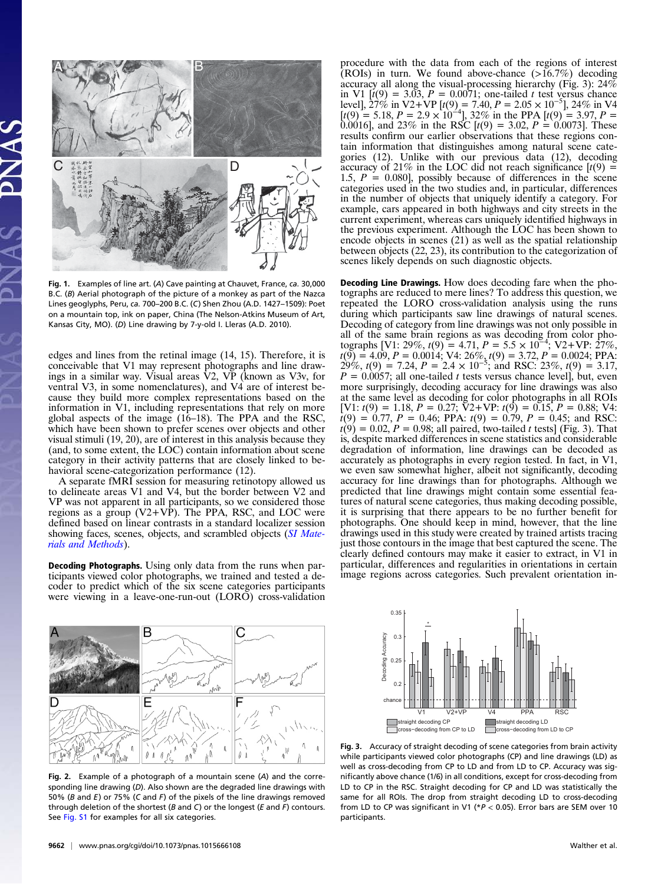

Fig. 1. Examples of line art. (A) Cave painting at Chauvet, France, ca. 30,000 B.C. (B) Aerial photograph of the picture of a monkey as part of the Nazca Lines geoglyphs, Peru, ca. 700–200 B.C. (C) Shen Zhou (A.D. 1427–1509): Poet on a mountain top, ink on paper, China (The Nelson-Atkins Museum of Art, Kansas City, MO). (D) Line drawing by 7-y-old I. Lleras (A.D. 2010).

edges and lines from the retinal image (14, 15). Therefore, it is conceivable that V1 may represent photographs and line drawings in a similar way. Visual areas V2, VP (known as V3v, for ventral V3, in some nomenclatures), and V4 are of interest because they build more complex representations based on the information in V1, including representations that rely on more global aspects of the image (16–18). The PPA and the RSC, which have been shown to prefer scenes over objects and other visual stimuli (19, 20), are of interest in this analysis because they (and, to some extent, the LOC) contain information about scene category in their activity patterns that are closely linked to behavioral scene-categorization performance (12).

A separate fMRI session for measuring retinotopy allowed us to delineate areas V1 and V4, but the border between V2 and VP was not apparent in all participants, so we considered those regions as a group  $(V2+VP)$ . The PPA, RSC, and LOC were defined based on linear contrasts in a standard localizer session showing faces, scenes, objects, and scrambled objects ([SI Mate](http://www.pnas.org/lookup/suppl/doi:10.1073/pnas.1015666108/-/DCSupplemental/pnas.201015666SI.pdf?targetid=nameddest=STXT)[rials and Methods](http://www.pnas.org/lookup/suppl/doi:10.1073/pnas.1015666108/-/DCSupplemental/pnas.201015666SI.pdf?targetid=nameddest=STXT)).

Decoding Photographs. Using only data from the runs when participants viewed color photographs, we trained and tested a decoder to predict which of the six scene categories participants were viewing in a leave-one-run-out (LORO) cross-validation

procedure with the data from each of the regions of interest (ROIs) in turn. We found above-chance  $(>\!16.7\%)$  decoding accuracy all along the visual-processing hierarchy (Fig. 3):  $24\%$ in V1  $[t(9) = 3.03, P = 0.0071$ ; one-tailed t test versus chance level],  $27\%$  in V2+VP [ $t(9) = 7.40$ ,  $P = 2.05 \times 10^{-5}$ ], 24% in V4 [ $t(9) = 5.18$ ,  $P = 2.9 \times 10^{-4}$ ], 32% in the PPA [ $t(9) = 3.97$ ,  $P =$ 0.0016], and 23% in the RSC  $[t(9) = 3.02, P = 0.0073]$ . These results confirm our earlier observations that these regions contain information that distinguishes among natural scene categories (12). Unlike with our previous data (12), decoding accuracy of 21% in the LOC did not reach significance  $[t(9) =$ 1.5,  $P = 0.080$ , possibly because of differences in the scene categories used in the two studies and, in particular, differences in the number of objects that uniquely identify a category. For example, cars appeared in both highways and city streets in the current experiment, whereas cars uniquely identified highways in the previous experiment. Although the LOC has been shown to encode objects in scenes (21) as well as the spatial relationship between objects (22, 23), its contribution to the categorization of scenes likely depends on such diagnostic objects.

Decoding Line Drawings. How does decoding fare when the photographs are reduced to mere lines? To address this question, we repeated the LORO cross-validation analysis using the runs during which participants saw line drawings of natural scenes. Decoding of category from line drawings was not only possible in all of the same brain regions as was decoding from color photographs [V1: 29%, t(9) = 4.71,  $P = 5.5 \times 10^{-4}$ ; V2+VP: 27%,<br>t(9) = 4.09,  $P = 0.0014$ ; V4: 26%, t(9) = 3.72,  $P = 0.0024$ ; PPA:  $29\%, t(9) = 7.24, P = 2.4 \times 10^{-5}$ ; and RSC: 23%,  $t(9) = 3.17$ ,  $P = 0.0057$ ; all one-tailed t tests versus chance level], but, even more surprisingly, decoding accuracy for line drawings was also at the same level as decoding for color photographs in all ROIs [V1:  $t(9) = 1.18$ ,  $P = 0.27$ ;  $\overline{V}2 + \overline{VP}$ :  $t(9) = 0.15$ ,  $P = 0.88$ ; V4:  $t(9) = 0.77$ ,  $P = 0.46$ ; PPA:  $t(9) = 0.79$ ,  $P = 0.45$ ; and RSC:  $t(9) = 0.02, P = 0.98$ ; all paired, two-tailed t tests] (Fig. 3). That is, despite marked differences in scene statistics and considerable degradation of information, line drawings can be decoded as accurately as photographs in every region tested. In fact, in V1, we even saw somewhat higher, albeit not significantly, decoding accuracy for line drawings than for photographs. Although we predicted that line drawings might contain some essential features of natural scene categories, thus making decoding possible, it is surprising that there appears to be no further benefit for photographs. One should keep in mind, however, that the line drawings used in this study were created by trained artists tracing just those contours in the image that best captured the scene. The clearly defined contours may make it easier to extract, in V1 in particular, differences and regularities in orientations in certain image regions across categories. Such prevalent orientation in-



Fig. 2. Example of a photograph of a mountain scene (A) and the corresponding line drawing (D). Also shown are the degraded line drawings with 50% (B and E) or 75% (C and F) of the pixels of the line drawings removed through deletion of the shortest ( $B$  and  $C$ ) or the longest ( $E$  and  $F$ ) contours. See [Fig. S1](http://www.pnas.org/lookup/suppl/doi:10.1073/pnas.1015666108/-/DCSupplemental/pnas.201015666SI.pdf?targetid=nameddest=SF1) for examples for all six categories.



Fig. 3. Accuracy of straight decoding of scene categories from brain activity while participants viewed color photographs (CP) and line drawings (LD) as well as cross-decoding from CP to LD and from LD to CP. Accuracy was significantly above chance (1/6) in all conditions, except for cross-decoding from LD to CP in the RSC. Straight decoding for CP and LD was statistically the same for all ROIs. The drop from straight decoding LD to cross-decoding from LD to CP was significant in V1 (\* $P < 0.05$ ). Error bars are SEM over 10 participants.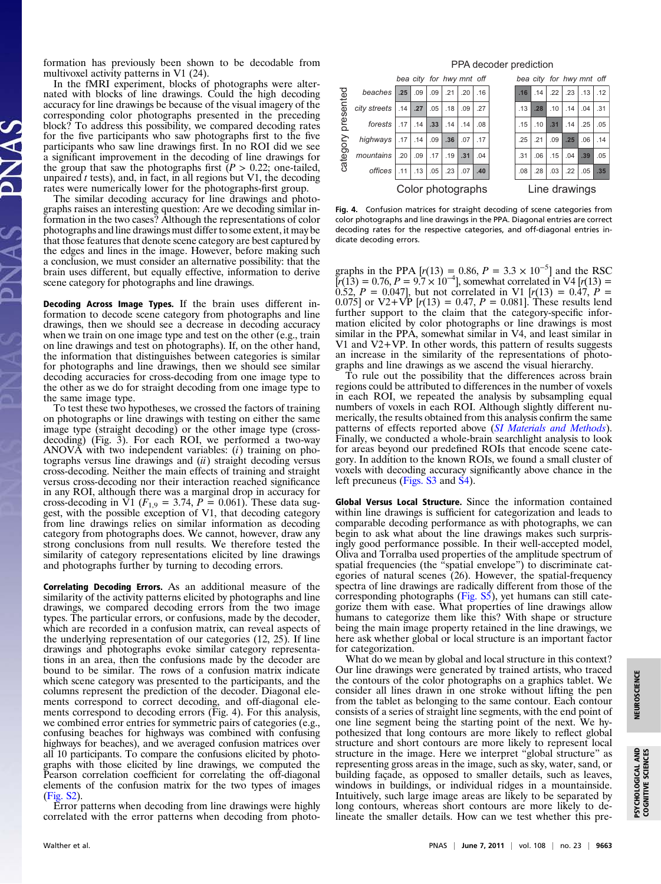formation has previously been shown to be decodable from multivoxel activity patterns in V1 (24).

In the fMRI experiment, blocks of photographs were alternated with blocks of line drawings. Could the high decoding accuracy for line drawings be because of the visual imagery of the corresponding color photographs presented in the preceding block? To address this possibility, we compared decoding rates for the five participants who saw photographs first to the five participants who saw line drawings first. In no ROI did we see a significant improvement in the decoding of line drawings for the group that saw the photographs first  $(P > 0.22)$ ; one-tailed, unpaired  $t$  tests), and, in fact, in all regions but  $V1$ , the decoding rates were numerically lower for the photographs-first group.

The similar decoding accuracy for line drawings and photographs raises an interesting question: Are we decoding similar information in the two cases? Although the representations of color photographs and line drawings must differ to some extent, it may be that those features that denote scene category are best captured by the edges and lines in the image. However, before making such a conclusion, we must consider an alternative possibility: that the brain uses different, but equally effective, information to derive scene category for photographs and line drawings.

Decoding Across Image Types. If the brain uses different information to decode scene category from photographs and line drawings, then we should see a decrease in decoding accuracy when we train on one image type and test on the other (e.g., train on line drawings and test on photographs). If, on the other hand, the information that distinguishes between categories is similar for photographs and line drawings, then we should see similar decoding accuracies for cross-decoding from one image type to the other as we do for straight decoding from one image type to the same image type.

To test these two hypotheses, we crossed the factors of training on photographs or line drawings with testing on either the same image type (straight decoding) or the other image type (crossdecoding) (Fig. 3). For each ROI, we performed a two-way ANOVA with two independent variables: (i) training on photographs versus line drawings and  $(ii)$  straight decoding versus cross-decoding. Neither the main effects of training and straight versus cross-decoding nor their interaction reached significance in any ROI, although there was a marginal drop in accuracy for cross-decoding in V1 ( $F_{1,9} = 3.74$ ,  $P = 0.061$ ). These data suggest, with the possible exception of V1, that decoding category from line drawings relies on similar information as decoding category from photographs does. We cannot, however, draw any strong conclusions from null results. We therefore tested the similarity of category representations elicited by line drawings and photographs further by turning to decoding errors.

Correlating Decoding Errors. As an additional measure of the similarity of the activity patterns elicited by photographs and line drawings, we compared decoding errors from the two image types. The particular errors, or confusions, made by the decoder, which are recorded in a confusion matrix, can reveal aspects of the underlying representation of our categories (12, 25). If line drawings and photographs evoke similar category representations in an area, then the confusions made by the decoder are bound to be similar. The rows of a confusion matrix indicate which scene category was presented to the participants, and the columns represent the prediction of the decoder. Diagonal elements correspond to correct decoding, and off-diagonal elements correspond to decoding errors (Fig. 4). For this analysis, we combined error entries for symmetric pairs of categories (e.g., confusing beaches for highways was combined with confusing highways for beaches), and we averaged confusion matrices over all 10 participants. To compare the confusions elicited by photographs with those elicited by line drawings, we computed the Pearson correlation coefficient for correlating the off-diagonal elements of the confusion matrix for the two types of images ([Fig. S2\)](http://www.pnas.org/lookup/suppl/doi:10.1073/pnas.1015666108/-/DCSupplemental/pnas.201015666SI.pdf?targetid=nameddest=SF2).

Error patterns when decoding from line drawings were highly correlated with the error patterns when decoding from photo-

PPA decoder prediction *bea city hwy for mnt off bea city hwy for mnt off* tegory presented category presented **.25** .09 .09 .21 .20 .16 11. **16** .14 .22 .23 .13 .12 *city streets* .14 **.27** .05 .18 .09 .27 .13 **.28** .10 .14 .04 .31 .17 .14 **.33** .14 .14 .08 .15 .10 **.31** .14 .25 .05 highways .17 .14 .09 **.36** .07 .17 .25 .08 **.21** .09 .25 *highways mountains* .20 .09 .17 .19 **.31** .04 .31 .06 .15 .04 **.39** .05 ថើ offices .11 .13 .05 .23 .07 **.40** .08 .28 .03 .22 .05 **.35** Color photographs Line drawings

Fig. 4. Confusion matrices for straight decoding of scene categories from color photographs and line drawings in the PPA. Diagonal entries are correct decoding rates for the respective categories, and off-diagonal entries indicate decoding errors.

graphs in the PPA  $[r(13) = 0.86, P = 3.3 \times 10^{-5}]$  and the RSC  $[r(13) = 0.76, P = 9.7 \times 10^{-4}]$ , somewhat correlated in V4  $[r(13) =$ 0.52,  $P = 0.047$ , but not correlated in V1 [ $r(13) = 0.47$ ,  $P =$ 0.075] or V2+VP  $[r(13) = 0.47, P = 0.081]$ . These results lend further support to the claim that the category-specific information elicited by color photographs or line drawings is most similar in the PPA, somewhat similar in V4, and least similar in V1 and V2+VP. In other words, this pattern of results suggests an increase in the similarity of the representations of photographs and line drawings as we ascend the visual hierarchy.

To rule out the possibility that the differences across brain regions could be attributed to differences in the number of voxels in each ROI, we repeated the analysis by subsampling equal numbers of voxels in each ROI. Although slightly different numerically, the results obtained from this analysis confirm the same patterns of effects reported above ([SI Materials and Methods](http://www.pnas.org/lookup/suppl/doi:10.1073/pnas.1015666108/-/DCSupplemental/pnas.201015666SI.pdf?targetid=nameddest=STXT)). Finally, we conducted a whole-brain searchlight analysis to look for areas beyond our predefined ROIs that encode scene category. In addition to the known ROIs, we found a small cluster of voxels with decoding accuracy significantly above chance in the left precuneus ([Figs. S3](http://www.pnas.org/lookup/suppl/doi:10.1073/pnas.1015666108/-/DCSupplemental/pnas.201015666SI.pdf?targetid=nameddest=SF3) and [S4](http://www.pnas.org/lookup/suppl/doi:10.1073/pnas.1015666108/-/DCSupplemental/pnas.201015666SI.pdf?targetid=nameddest=SF4)).

Global Versus Local Structure. Since the information contained within line drawings is sufficient for categorization and leads to comparable decoding performance as with photographs, we can begin to ask what about the line drawings makes such surprisingly good performance possible. In their well-accepted model, Oliva and Torralba used properties of the amplitude spectrum of spatial frequencies (the "spatial envelope") to discriminate categories of natural scenes (26). However, the spatial-frequency spectra of line drawings are radically different from those of the corresponding photographs [\(Fig. S5](http://www.pnas.org/lookup/suppl/doi:10.1073/pnas.1015666108/-/DCSupplemental/pnas.201015666SI.pdf?targetid=nameddest=SF5)), yet humans can still categorize them with ease. What properties of line drawings allow humans to categorize them like this? With shape or structure being the main image property retained in the line drawings, we here ask whether global or local structure is an important factor for categorization.

What do we mean by global and local structure in this context? Our line drawings were generated by trained artists, who traced the contours of the color photographs on a graphics tablet. We consider all lines drawn in one stroke without lifting the pen from the tablet as belonging to the same contour. Each contour consists of a series of straight line segments, with the end point of one line segment being the starting point of the next. We hypothesized that long contours are more likely to reflect global structure and short contours are more likely to represent local structure in the image. Here we interpret "global structure" as representing gross areas in the image, such as sky, water, sand, or building façade, as opposed to smaller details, such as leaves, windows in buildings, or individual ridges in a mountainside. Intuitively, such large image areas are likely to be separated by long contours, whereas short contours are more likely to delineate the smaller details. How can we test whether this pre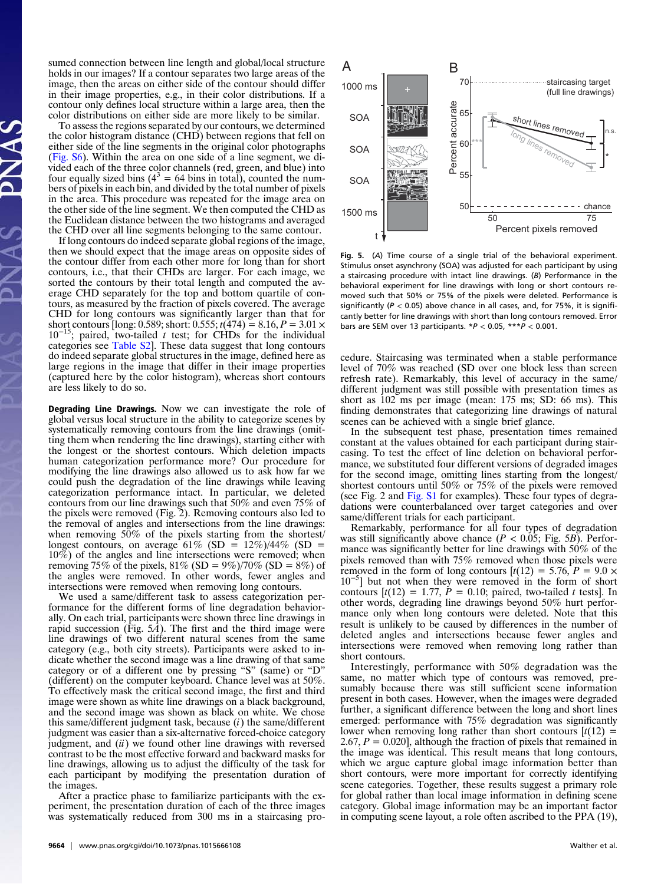sumed connection between line length and global/local structure holds in our images? If a contour separates two large areas of the image, then the areas on either side of the contour should differ in their image properties, e.g., in their color distributions. If a contour only defines local structure within a large area, then the color distributions on either side are more likely to be similar.

To assess the regions separated by our contours, we determined the color histogram distance (CHD) between regions that fell on either side of the line segments in the original color photographs [\(Fig. S6\)](http://www.pnas.org/lookup/suppl/doi:10.1073/pnas.1015666108/-/DCSupplemental/pnas.201015666SI.pdf?targetid=nameddest=SF6). Within the area on one side of a line segment, we divided each of the three color channels (red, green, and blue) into four equally sized bins ( $4^3$  = 64 bins in total), counted the numbers of pixels in each bin, and divided by the total number of pixels in the area. This procedure was repeated for the image area on the other side of the line segment. We then computed the CHD as the Euclidean distance between the two histograms and averaged the CHD over all line segments belonging to the same contour.

If long contours do indeed separate global regions of the image, then we should expect that the image areas on opposite sides of the contour differ from each other more for long than for short contours, i.e., that their CHDs are larger. For each image, we sorted the contours by their total length and computed the average CHD separately for the top and bottom quartile of contours, as measured by the fraction of pixels covered. The average CHD for long contours was significantly larger than that for short contours [long: 0.589; short: 0.555;  $t(474) = 8.16$ ,  $P = 3.01 \times 10^{-15}$ ; paired, two-tailed *t* test; for CHDs for the individual  $\frac{1}{2}$ ; paired, two-tailed t test; for CHDs for the individual categories see [Table S2](http://www.pnas.org/lookup/suppl/doi:10.1073/pnas.1015666108/-/DCSupplemental/pnas.201015666SI.pdf?targetid=nameddest=ST2)]. These data suggest that long contours do indeed separate global structures in the image, defined here as large regions in the image that differ in their image properties (captured here by the color histogram), whereas short contours are less likely to do so.

Degrading Line Drawings. Now we can investigate the role of global versus local structure in the ability to categorize scenes by systematically removing contours from the line drawings (omitting them when rendering the line drawings), starting either with the longest or the shortest contours. Which deletion impacts human categorization performance more? Our procedure for modifying the line drawings also allowed us to ask how far we could push the degradation of the line drawings while leaving categorization performance intact. In particular, we deleted contours from our line drawings such that 50% and even 75% of the pixels were removed (Fig. 2). Removing contours also led to the removal of angles and intersections from the line drawings: when removing 50% of the pixels starting from the shortest/ longest contours, on average  $61\%$  (SD =  $12\%$ )/44% (SD = 10%) of the angles and line intersections were removed; when removing 75% of the pixels, 81% (SD = 9%)/70% (SD = 8%) of the angles were removed. In other words, fewer angles and intersections were removed when removing long contours.

We used a same/different task to assess categorization performance for the different forms of line degradation behaviorally. On each trial, participants were shown three line drawings in rapid succession (Fig.  $5\hat{A}$ ). The first and the third image were line drawings of two different natural scenes from the same category (e.g., both city streets). Participants were asked to indicate whether the second image was a line drawing of that same category or of a different one by pressing "S" (same) or "D" (different) on the computer keyboard. Chance level was at 50%. To effectively mask the critical second image, the first and third image were shown as white line drawings on a black background, and the second image was shown as black on white. We chose this same/different judgment task, because  $(i)$  the same/different judgment was easier than a six-alternative forced-choice category judgment, and  $(ii)$  we found other line drawings with reversed contrast to be the most effective forward and backward masks for line drawings, allowing us to adjust the difficulty of the task for each participant by modifying the presentation duration of the images.

After a practice phase to familiarize participants with the experiment, the presentation duration of each of the three images was systematically reduced from 300 ms in a staircasing pro-



Fig. 5. (A) Time course of a single trial of the behavioral experiment. Stimulus onset asynchrony (SOA) was adjusted for each participant by using a staircasing procedure with intact line drawings. (B) Performance in the behavioral experiment for line drawings with long or short contours removed such that 50% or 75% of the pixels were deleted. Performance is significantly ( $P < 0.05$ ) above chance in all cases, and, for 75%, it is significantly better for line drawings with short than long contours removed. Error bars are SEM over 13 participants. \*P < 0.05, \*\*\*P < 0.001.

cedure. Staircasing was terminated when a stable performance level of 70% was reached (SD over one block less than screen refresh rate). Remarkably, this level of accuracy in the same/ different judgment was still possible with presentation times as short as 102 ms per image (mean: 175 ms; SD: 66 ms). This finding demonstrates that categorizing line drawings of natural scenes can be achieved with a single brief glance.

In the subsequent test phase, presentation times remained constant at the values obtained for each participant during staircasing. To test the effect of line deletion on behavioral performance, we substituted four different versions of degraded images for the second image, omitting lines starting from the longest/ shortest contours until 50% or 75% of the pixels were removed (see Fig. 2 and [Fig. S1](http://www.pnas.org/lookup/suppl/doi:10.1073/pnas.1015666108/-/DCSupplemental/pnas.201015666SI.pdf?targetid=nameddest=SF1) for examples). These four types of degradations were counterbalanced over target categories and over same/different trials for each participant.

Remarkably, performance for all four types of degradation was still significantly above chance  $(P < 0.05;$  Fig. 5B). Performance was significantly better for line drawings with 50% of the pixels removed than with 75% removed when those pixels were removed in the form of long contours  $[t(12) = 5.76, P = 9.0 \times$ 10−<sup>5</sup> ] but not when they were removed in the form of short contours  $[t(12) = 1.77, \dot{P} = 0.10$ ; paired, two-tailed t tests]. In other words, degrading line drawings beyond 50% hurt performance only when long contours were deleted. Note that this result is unlikely to be caused by differences in the number of deleted angles and intersections because fewer angles and intersections were removed when removing long rather than short contours.

Interestingly, performance with 50% degradation was the same, no matter which type of contours was removed, presumably because there was still sufficient scene information present in both cases. However, when the images were degraded further, a significant difference between the long and short lines emerged: performance with 75% degradation was significantly lower when removing long rather than short contours  $[t(12) =$ 2.67,  $P = 0.020$ , although the fraction of pixels that remained in the image was identical. This result means that long contours, which we argue capture global image information better than short contours, were more important for correctly identifying scene categories. Together, these results suggest a primary role for global rather than local image information in defining scene category. Global image information may be an important factor in computing scene layout, a role often ascribed to the PPA (19),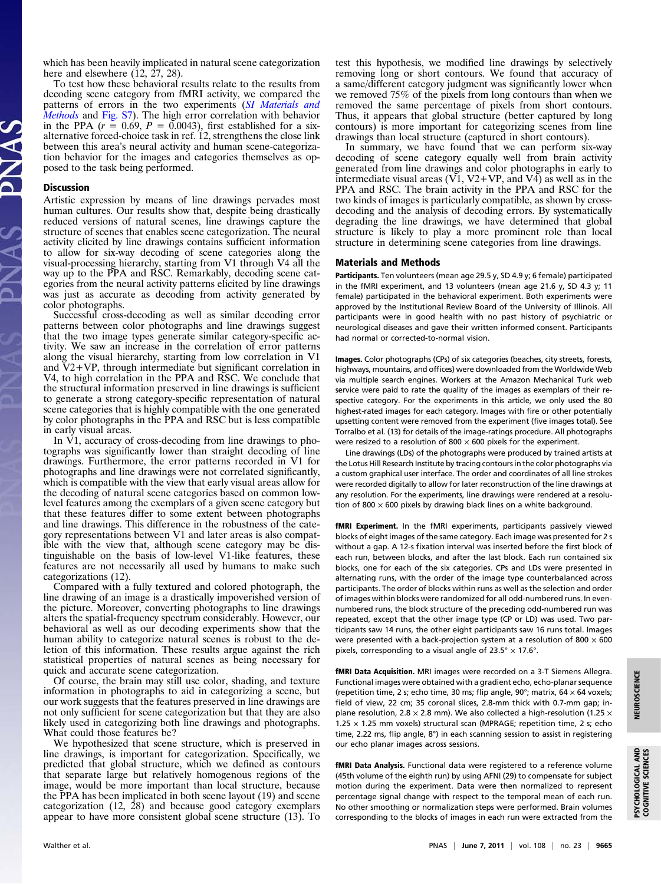which has been heavily implicated in natural scene categorization here and elsewhere  $(12, 27, 28)$ .

To test how these behavioral results relate to the results from decoding scene category from fMRI activity, we compared the patterns of errors in the two experiments ([SI Materials and](http://www.pnas.org/lookup/suppl/doi:10.1073/pnas.1015666108/-/DCSupplemental/pnas.201015666SI.pdf?targetid=nameddest=STXT) [Methods](http://www.pnas.org/lookup/suppl/doi:10.1073/pnas.1015666108/-/DCSupplemental/pnas.201015666SI.pdf?targetid=nameddest=STXT) and [Fig. S7](http://www.pnas.org/lookup/suppl/doi:10.1073/pnas.1015666108/-/DCSupplemental/pnas.201015666SI.pdf?targetid=nameddest=SF7)). The high error correlation with behavior in the PPA ( $r = 0.69$ ,  $P = 0.0043$ ), first established for a sixalternative forced-choice task in ref. 12, strengthens the close link between this area's neural activity and human scene-categorization behavior for the images and categories themselves as opposed to the task being performed.

## Discussion

Artistic expression by means of line drawings pervades most human cultures. Our results show that, despite being drastically reduced versions of natural scenes, line drawings capture the structure of scenes that enables scene categorization. The neural activity elicited by line drawings contains sufficient information to allow for six-way decoding of scene categories along the visual-processing hierarchy, starting from V1 through V4 all the way up to the PPA and RSC. Remarkably, decoding scene categories from the neural activity patterns elicited by line drawings was just as accurate as decoding from activity generated by color photographs.

Successful cross-decoding as well as similar decoding error patterns between color photographs and line drawings suggest that the two image types generate similar category-specific activity. We saw an increase in the correlation of error patterns along the visual hierarchy, starting from low correlation in V1 and  $V2+VP$ , through intermediate but significant correlation in V4, to high correlation in the PPA and RSC. We conclude that the structural information preserved in line drawings is sufficient to generate a strong category-specific representation of natural scene categories that is highly compatible with the one generated by color photographs in the PPA and RSC but is less compatible in early visual areas.

In V1, accuracy of cross-decoding from line drawings to photographs was significantly lower than straight decoding of line drawings. Furthermore, the error patterns recorded in V1 for photographs and line drawings were not correlated significantly, which is compatible with the view that early visual areas allow for the decoding of natural scene categories based on common lowlevel features among the exemplars of a given scene category but that these features differ to some extent between photographs and line drawings. This difference in the robustness of the category representations between V1 and later areas is also compatible with the view that, although scene category may be distinguishable on the basis of low-level V1-like features, these features are not necessarily all used by humans to make such categorizations (12).

Compared with a fully textured and colored photograph, the line drawing of an image is a drastically impoverished version of the picture. Moreover, converting photographs to line drawings alters the spatial-frequency spectrum considerably. However, our behavioral as well as our decoding experiments show that the human ability to categorize natural scenes is robust to the deletion of this information. These results argue against the rich statistical properties of natural scenes as being necessary for quick and accurate scene categorization.

Of course, the brain may still use color, shading, and texture information in photographs to aid in categorizing a scene, but our work suggests that the features preserved in line drawings are not only sufficient for scene categorization but that they are also likely used in categorizing both line drawings and photographs. What could those features be?

We hypothesized that scene structure, which is preserved in line drawings, is important for categorization. Specifically, we predicted that global structure, which we defined as contours that separate large but relatively homogenous regions of the image, would be more important than local structure, because the PPA has been implicated in both scene layout (19) and scene categorization (12, 28) and because good category exemplars appear to have more consistent global scene structure (13). To test this hypothesis, we modified line drawings by selectively removing long or short contours. We found that accuracy of a same/different category judgment was significantly lower when we removed 75% of the pixels from long contours than when we removed the same percentage of pixels from short contours. Thus, it appears that global structure (better captured by long contours) is more important for categorizing scenes from line drawings than local structure (captured in short contours).

In summary, we have found that we can perform six-way decoding of scene category equally well from brain activity generated from line drawings and color photographs in early to intermediate visual areas  $(V1, V2+VP)$ , and V4) as well as in the PPA and RSC. The brain activity in the PPA and RSC for the two kinds of images is particularly compatible, as shown by crossdecoding and the analysis of decoding errors. By systematically degrading the line drawings, we have determined that global structure is likely to play a more prominent role than local structure in determining scene categories from line drawings.

## Materials and Methods

Participants. Ten volunteers (mean age 29.5 y, SD 4.9 y; 6 female) participated in the fMRI experiment, and 13 volunteers (mean age 21.6 y, SD 4.3 y; 11 female) participated in the behavioral experiment. Both experiments were approved by the Institutional Review Board of the University of Illinois. All participants were in good health with no past history of psychiatric or neurological diseases and gave their written informed consent. Participants had normal or corrected-to-normal vision.

Images. Color photographs (CPs) of six categories (beaches, city streets, forests, highways, mountains, and offices) were downloaded from the Worldwide Web via multiple search engines. Workers at the Amazon Mechanical Turk web service were paid to rate the quality of the images as exemplars of their respective category. For the experiments in this article, we only used the 80 highest-rated images for each category. Images with fire or other potentially upsetting content were removed from the experiment (five images total). See Torralbo et al. (13) for details of the image-ratings procedure. All photographs were resized to a resolution of 800  $\times$  600 pixels for the experiment.

Line drawings (LDs) of the photographs were produced by trained artists at the Lotus Hill Research Institute by tracing contours in the color photographs via a custom graphical user interface. The order and coordinates of all line strokes were recorded digitally to allow for later reconstruction of the line drawings at any resolution. For the experiments, line drawings were rendered at a resolution of 800  $\times$  600 pixels by drawing black lines on a white background.

fMRI Experiment. In the fMRI experiments, participants passively viewed blocks of eight images of the same category. Each image was presented for 2 s without a gap. A 12-s fixation interval was inserted before the first block of each run, between blocks, and after the last block. Each run contained six blocks, one for each of the six categories. CPs and LDs were presented in alternating runs, with the order of the image type counterbalanced across participants. The order of blocks within runs as well as the selection and order of images within blocks were randomized for all odd-numbered runs. In evennumbered runs, the block structure of the preceding odd-numbered run was repeated, except that the other image type (CP or LD) was used. Two participants saw 14 runs, the other eight participants saw 16 runs total. Images were presented with a back-projection system at a resolution of 800  $\times$  600 pixels, corresponding to a visual angle of  $23.5^{\circ} \times 17.6^{\circ}$ .

fMRI Data Acquisition. MRI images were recorded on a 3-T Siemens Allegra. Functional images were obtained with a gradient echo, echo-planar sequence (repetition time, 2 s; echo time, 30 ms; flip angle, 90°; matrix, 64  $\times$  64 voxels; field of view, 22 cm; 35 coronal slices, 2.8-mm thick with 0.7-mm gap; inplane resolution, 2.8  $\times$  2.8 mm). We also collected a high-resolution (1.25  $\times$ 1.25  $\times$  1.25 mm voxels) structural scan (MPRAGE; repetition time, 2 s; echo time, 2.22 ms, flip angle, 8°) in each scanning session to assist in registering our echo planar images across sessions.

fMRI Data Analysis. Functional data were registered to a reference volume (45th volume of the eighth run) by using AFNI (29) to compensate for subject motion during the experiment. Data were then normalized to represent percentage signal change with respect to the temporal mean of each run. No other smoothing or normalization steps were performed. Brain volumes corresponding to the blocks of images in each run were extracted from the